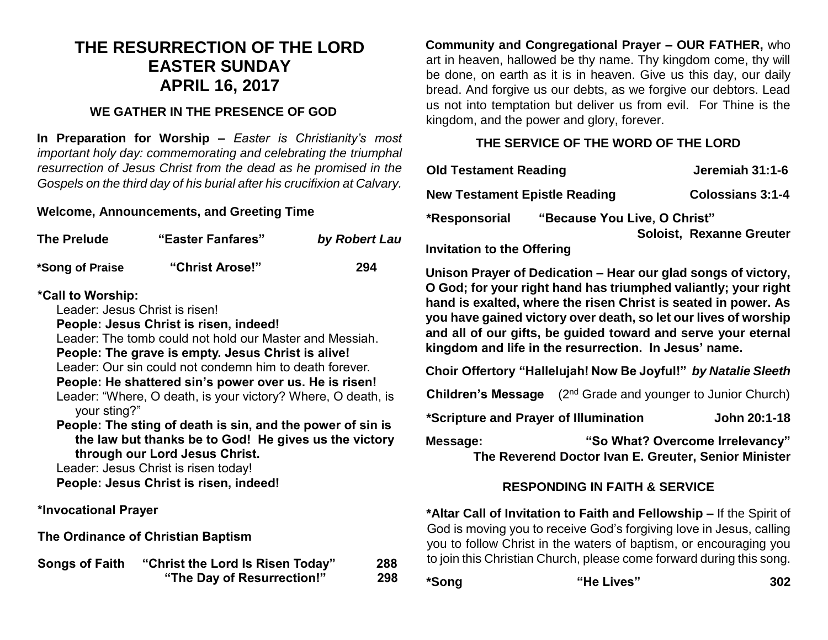# **THE RESURRECTION OF THE LORD EASTER SUNDAY APRIL 16, 2017**

### **WE GATHER IN THE PRESENCE OF GOD**

**In Preparation for Worship –** *Easter is Christianity's most important holy day: commemorating and celebrating the triumphal resurrection of Jesus Christ from the dead as he promised in the Gospels on the third day of his burial after his crucifixion at Calvary.*

### **Welcome, Announcements, and Greeting Time**

| The Prelude     | "Easter Fanfares" | by Robert Lau |
|-----------------|-------------------|---------------|
| *Song of Praise | "Christ Arose!"   | 294           |

### **\*Call to Worship:**

Leader: Jesus Christ is risen!

**People: Jesus Christ is risen, indeed!**

Leader: The tomb could not hold our Master and Messiah. **People: The grave is empty. Jesus Christ is alive!** Leader: Our sin could not condemn him to death forever.

**People: He shattered sin's power over us. He is risen!** Leader: "Where, O death, is your victory? Where, O death, is your sting?"

**People: The sting of death is sin, and the power of sin is the law but thanks be to God! He gives us the victory through our Lord Jesus Christ.**

Leader: Jesus Christ is risen today! **People: Jesus Christ is risen, indeed!**

**\*Invocational Prayer**

**The Ordinance of Christian Baptism**

| <b>Songs of Faith</b> | "Christ the Lord Is Risen Today" | 288 |
|-----------------------|----------------------------------|-----|
|                       | "The Day of Resurrection!"       | 298 |

**Community and Congregational Prayer – OUR FATHER,** who art in heaven, hallowed be thy name. Thy kingdom come, thy will be done, on earth as it is in heaven. Give us this day, our daily bread. And forgive us our debts, as we forgive our debtors. Lead us not into temptation but deliver us from evil. For Thine is the kingdom, and the power and glory, forever.

### **THE SERVICE OF THE WORD OF THE LORD**

| <b>Old Testament Reading</b>         |                              | Jeremiah 31:1-6                 |  |
|--------------------------------------|------------------------------|---------------------------------|--|
| <b>New Testament Epistle Reading</b> |                              | <b>Colossians 3:1-4</b>         |  |
| *Responsorial                        | "Because You Live, O Christ" |                                 |  |
|                                      |                              | <b>Soloist, Rexanne Greuter</b> |  |
| <b>Invitation to the Offering</b>    |                              |                                 |  |

**Unison Prayer of Dedication – Hear our glad songs of victory, O God; for your right hand has triumphed valiantly; your right hand is exalted, where the risen Christ is seated in power. As you have gained victory over death, so let our lives of worship and all of our gifts, be guided toward and serve your eternal kingdom and life in the resurrection. In Jesus' name.** 

**Choir Offertory "Hallelujah! Now Be Joyful!"** *by Natalie Sleeth*

**Children's Message** (2<sup>nd</sup> Grade and younger to Junior Church)

**\*Scripture and Prayer of Illumination John 20:1-18**

**Message: "So What? Overcome Irrelevancy" The Reverend Doctor Ivan E. Greuter, Senior Minister**

## **RESPONDING IN FAITH & SERVICE**

**\*Altar Call of Invitation to Faith and Fellowship –** If the Spirit of God is moving you to receive God's forgiving love in Jesus, calling you to follow Christ in the waters of baptism, or encouraging you to join this Christian Church, please come forward during this song.

| *Song | "He Lives" | 302 |
|-------|------------|-----|
|       |            |     |